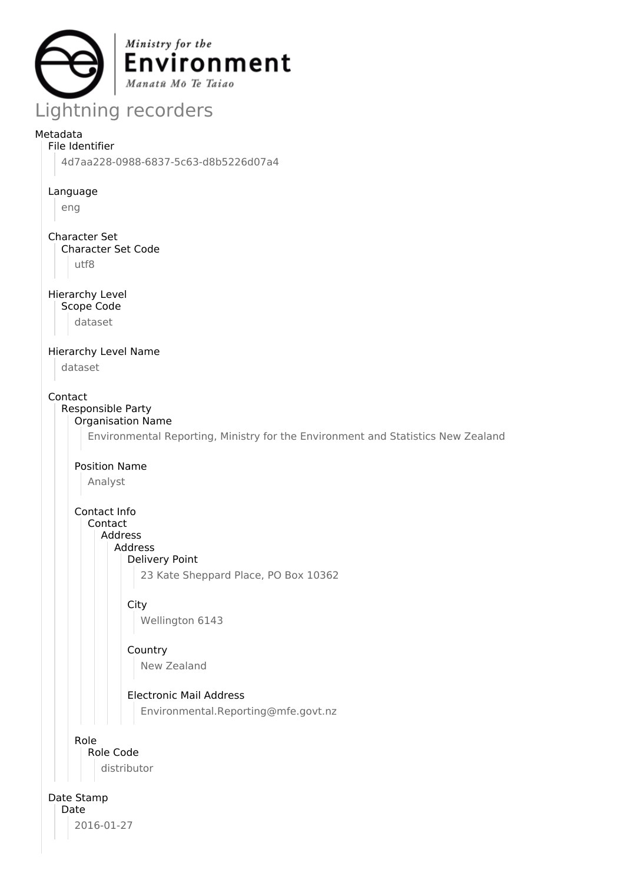

# Lightning recorders

## Metadata

File Identifier 4d7aa228-0988-6837-5c63-d8b5226d07a4

Language

eng

Character Set

Character Set Code

utf8

Hierarchy Level

Scope Code

dataset

# Hierarchy Level Name

dataset

Contact

#### Responsible Party Organisation Name

Environmental Reporting, Ministry for the Environment and Statistics New Zealand

Position Name

Analyst

Contact Info Contact

Address

Address Delivery Point

23 Kate Sheppard Place, PO Box 10362

# **City**

Wellington 6143

## Country New Zealand

Electronic Mail Address

Environmental.Reporting@mfe.govt.nz

## Role

Role Code

distributor

# Date Stamp

Date 2016-01-27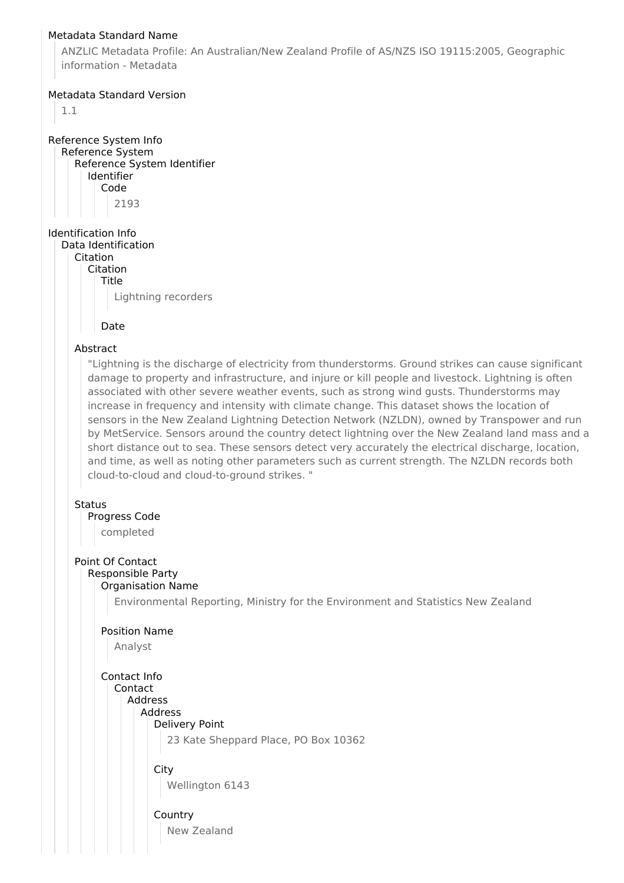## Metadata Standard Name

ANZLIC Metadata Profile: An Australian/New Zealand Profile of AS/NZS ISO 19115:2005, Geographic information - Metadata

### Metadata Standard Version

1.1

Reference System Info Reference System Reference System Identifier Identifier Code 2193

Identification Info Data Identification

Citation

Citation

Title

Lightning recorders

Date

### Abstract

"Lightning is the discharge of electricity from thunderstorms. Ground strikes can cause significant damage to property and infrastructure, and injure or kill people and livestock. Lightning is often associated with other severe weather events, such as strong wind gusts. Thunderstorms may increase in frequency and intensity with climate change. This dataset shows the location of sensors in the New Zealand Lightning Detection Network (NZLDN), owned by Transpower and run by MetService. Sensors around the country detect lightning over the New Zealand land mass and a short distance out to sea. These sensors detect very accurately the electrical discharge, location, and time, as well as noting other parameters such as current strength. The NZLDN records both cloud-to-cloud and cloud-to-ground strikes. "

#### **Status**

Progress Code

completed

## Point Of Contact

#### Responsible Party Organisation Name

Environmental Reporting, Ministry for the Environment and Statistics New Zealand

#### Position Name

Analyst

Contact Info Contact Address Address Delivery Point

23 Kate Sheppard Place, PO Box 10362

**City** Wellington 6143

**Country** 

New Zealand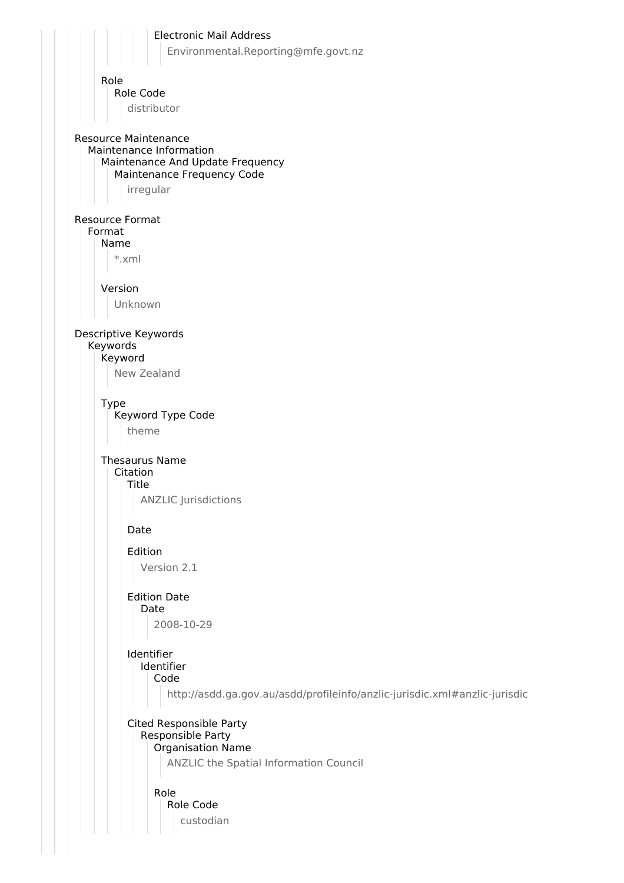Electronic Mail Address Environmental.Reporting@mfe.govt.nz Role Role Code distributor Resource Maintenance Maintenance Information Maintenance And Update Frequency Maintenance Frequency Code irregular Resource Format Format Name \*.xml Version Unknown Descriptive Keywords Keywords Keyword New Zealand Type Keyword Type Code theme Thesaurus Name Citation Title ANZLIC Jurisdictions Date Edition Version 2.1 Edition Date Date 2008-10-29 Identifier Identifier Code http://asdd.ga.gov.au/asdd/profileinfo/anzlic-jurisdic.xml#anzlic-jurisdic Cited Responsible Party Responsible Party Organisation Name ANZLIC the Spatial Information Council Role Role Code custodian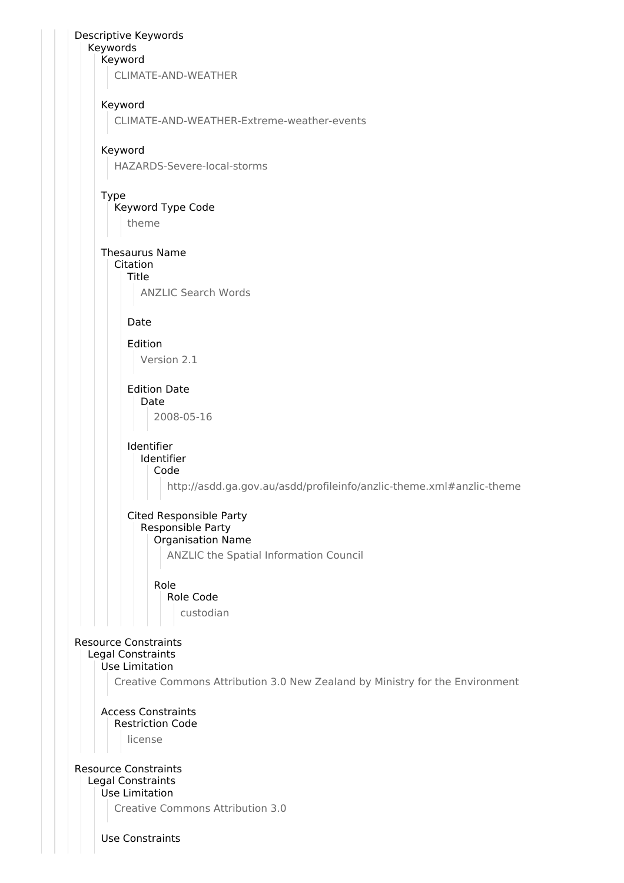Descriptive Keywords Keywords Keyword CLIMATE-AND-WEATHER Keyword CLIMATE-AND-WEATHER-Extreme-weather-events Keyword HAZARDS-Severe-local-storms Type Keyword Type Code theme Thesaurus Name Citation Title ANZLIC Search Words Date Edition Version 2.1 Edition Date Date 2008-05-16 Identifier Identifier Code http://asdd.ga.gov.au/asdd/profileinfo/anzlic-theme.xml#anzlic-theme Cited Responsible Party Responsible Party Organisation Name ANZLIC the Spatial Information Council Role Role Code custodian Resource Constraints Legal Constraints Use Limitation Creative Commons Attribution 3.0 New Zealand by Ministry for the Environment Access Constraints Restriction Code license Resource Constraints Legal Constraints Use Limitation Creative Commons Attribution 3.0 Use Constraints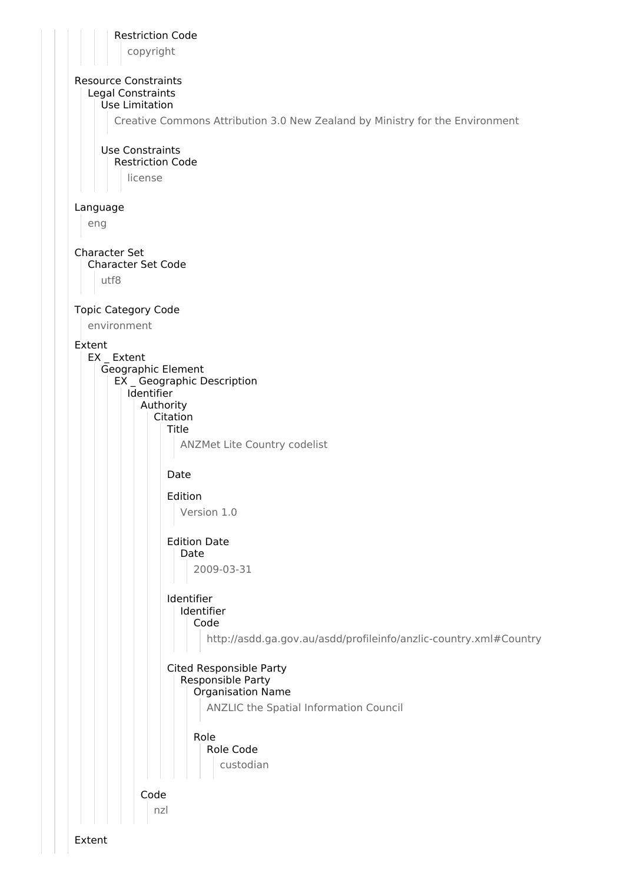